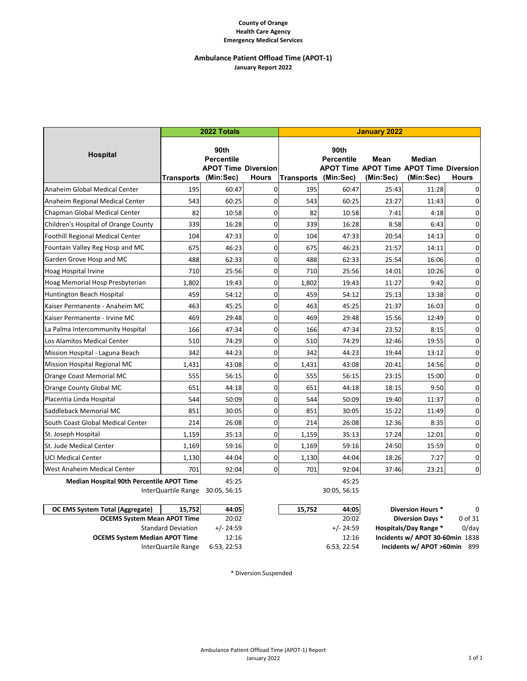### **County of Orange Health Care Agency Emergency Medical Services**

# **Ambulance Patient Offload Time (APOT‐1) January Report 2022**

|                                                  | 2022 Totals       |                                                                      |          | <b>January 2022</b> |                                        |                   |                                                                       |              |  |
|--------------------------------------------------|-------------------|----------------------------------------------------------------------|----------|---------------------|----------------------------------------|-------------------|-----------------------------------------------------------------------|--------------|--|
| <b>Hospital</b>                                  | <b>Transports</b> | 90th<br><b>Percentile</b><br><b>APOT Time Diversion</b><br>(Min:Sec) | Hours    | <b>Transports</b>   | 90th<br><b>Percentile</b><br>(Min:Sec) | Mean<br>(Min:Sec) | Median<br><b>APOT Time APOT Time APOT Time Diversion</b><br>(Min:Sec) | <b>Hours</b> |  |
| Anaheim Global Medical Center                    | 195               | 60:47                                                                | 0        | 195                 | 60:47                                  | 25:43             | 11:28                                                                 | 0            |  |
| Anaheim Regional Medical Center                  | 543               | 60:25                                                                | $\Omega$ | 543                 | 60:25                                  | 23:27             | 11:43                                                                 | 0            |  |
| Chapman Global Medical Center                    | 82                | 10:58                                                                | 0        | 82                  | 10:58                                  | 7:41              | 4:18                                                                  | 0            |  |
| Children's Hospital of Orange County             | 339               | 16:28                                                                | $\Omega$ | 339                 | 16:28                                  | 8:58              | 6:43                                                                  | 0            |  |
| Foothill Regional Medical Center                 | 104               | 47:33                                                                | 0        | 104                 | 47:33                                  | 20:54             | 14:13                                                                 | 0            |  |
| Fountain Valley Reg Hosp and MC                  | 675               | 46:23                                                                | 0        | 675                 | 46:23                                  | 21:57             | 14:11                                                                 | 0            |  |
| Garden Grove Hosp and MC                         | 488               | 62:33                                                                | $\Omega$ | 488                 | 62:33                                  | 25:54             | 16:06                                                                 | 0            |  |
| <b>Hoag Hospital Irvine</b>                      | 710               | 25:56                                                                | 0        | 710                 | 25:56                                  | 14:01             | 10:26                                                                 | 0            |  |
| Hoag Memorial Hosp Presbyterian                  | 1,802             | 19:43                                                                | $\Omega$ | 1,802               | 19:43                                  | 11:27             | 9:42                                                                  | 0            |  |
| Huntington Beach Hospital                        | 459               | 54:12                                                                | 0        | 459                 | 54:12                                  | 25:13             | 13:38                                                                 | 0            |  |
| Kaiser Permanente - Anaheim MC                   | 463               | 45:25                                                                | $\Omega$ | 463                 | 45:25                                  | 21:37             | 16:03                                                                 | 0            |  |
| Kaiser Permanente - Irvine MC                    | 469               | 29:48                                                                | 0        | 469                 | 29:48                                  | 15:56             | 12:49                                                                 | 0            |  |
| La Palma Intercommunity Hospital                 | 166               | 47:34                                                                | 0        | 166                 | 47:34                                  | 23:52             | 8:15                                                                  | 0            |  |
| Los Alamitos Medical Center                      | 510               | 74:29                                                                | $\Omega$ | 510                 | 74:29                                  | 32:46             | 19:55                                                                 | $\mathbf 0$  |  |
| Mission Hospital - Laguna Beach                  | 342               | 44:23                                                                | 0        | 342                 | 44:23                                  | 19:44             | 13:12                                                                 | 0            |  |
| Mission Hospital Regional MC                     | 1,431             | 43:08                                                                | $\Omega$ | 1,431               | 43:08                                  | 20:41             | 14:56                                                                 | 0            |  |
| Orange Coast Memorial MC                         | 555               | 56:15                                                                | $\Omega$ | 555                 | 56:15                                  | 23:15             | 15:00                                                                 | 0            |  |
| Orange County Global MC                          | 651               | 44:18                                                                | 0        | 651                 | 44:18                                  | 18:15             | 9:50                                                                  | 0            |  |
| Placentia Linda Hospital                         | 544               | 50:09                                                                | $\Omega$ | 544                 | 50:09                                  | 19:40             | 11:37                                                                 | 0            |  |
| Saddleback Memorial MC                           | 851               | 30:05                                                                | 0        | 851                 | 30:05                                  | 15:22             | 11:49                                                                 | 0            |  |
| South Coast Global Medical Center                | 214               | 26:08                                                                | 0        | 214                 | 26:08                                  | 12:36             | 8:35                                                                  | 0            |  |
| St. Joseph Hospital                              | 1,159             | 35:13                                                                | 0        | 1,159               | 35:13                                  | 17:24             | 12:01                                                                 | 0            |  |
| St. Jude Medical Center                          | 1,169             | 59:16                                                                | 0        | 1,169               | 59:16                                  | 24:50             | 15:59                                                                 | 0            |  |
| <b>UCI Medical Center</b>                        | 1,130             | 44:04                                                                | 0        | 1,130               | 44:04                                  | 18:26             | 7:27                                                                  | 0            |  |
| West Anaheim Medical Center                      | 701               | 92:04                                                                | 0        | 701                 | 92:04                                  | 37:46             | 23:21                                                                 | 0            |  |
| <b>Median Hospital 90th Percentile APOT Time</b> |                   | 45:25                                                                |          |                     | 45:25                                  |                   |                                                                       |              |  |

30:05, 56:15 30:05, 56:15 InterQuartile Range

| OC EMS System Total (Aggregate)      | 15.752                    | 44:05       | 15.752<br>44:05 | <b>Diversion Hours *</b>        | 0        |
|--------------------------------------|---------------------------|-------------|-----------------|---------------------------------|----------|
| <b>OCEMS System Mean APOT Time</b>   |                           | 20:02       | 20:02           | <b>Diversion Days *</b>         | 0 of 31  |
|                                      | <b>Standard Deviation</b> | $+/- 24:59$ | $+/- 24:59$     | <b>Hospitals/Day Range *</b>    | $0$ /day |
| <b>OCEMS System Median APOT Time</b> |                           | 12:16       | 12:16           | Incidents w/ APOT 30-60min 1838 |          |
|                                      | InterQuartile Range       | 6:53, 22:53 | 6:53.22:54      | Incidents w/ APOT >60min 899    |          |

\* Diversion Suspended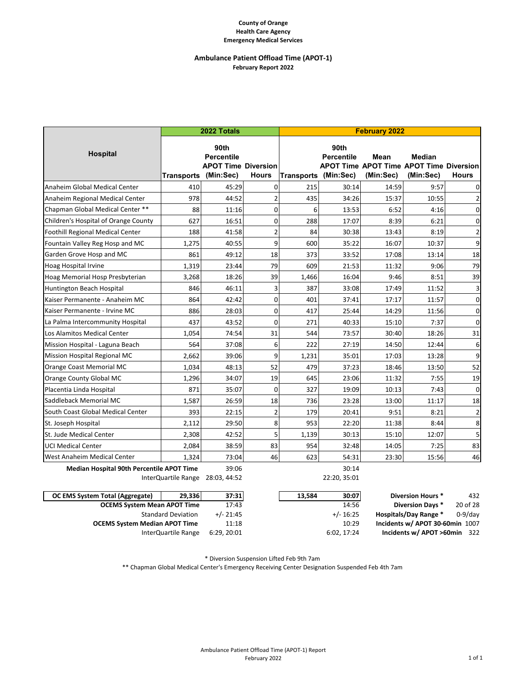### **County of Orange Health Care Agency Emergency Medical Services**

### **Ambulance Patient Offload Time (APOT‐1) February Report 2022**

|                                                  |            | 2022 Totals                                                          |                | <b>February 2022</b> |                           |                   |                                                                              |                  |
|--------------------------------------------------|------------|----------------------------------------------------------------------|----------------|----------------------|---------------------------|-------------------|------------------------------------------------------------------------------|------------------|
| <b>Hospital</b>                                  | Transports | 90th<br><b>Percentile</b><br><b>APOT Time Diversion</b><br>(Min:Sec) | <b>Hours</b>   | Transports (Min:Sec) | 90th<br><b>Percentile</b> | Mean<br>(Min:Sec) | <b>Median</b><br><b>APOT Time APOT Time APOT Time Diversion</b><br>(Min:Sec) | <b>Hours</b>     |
| Anaheim Global Medical Center                    | 410        | 45:29                                                                | $\Omega$       | 215                  | 30:14                     | 14:59             | 9:57                                                                         | $\Omega$         |
| Anaheim Regional Medical Center                  | 978        | 44:52                                                                | $\overline{2}$ | 435                  | 34:26                     | 15:37             | 10:55                                                                        | $\overline{2}$   |
| Chapman Global Medical Center **                 | 88         | 11:16                                                                | $\Omega$       | 6                    | 13:53                     | 6:52              | 4:16                                                                         | $\mathbf 0$      |
| Children's Hospital of Orange County             | 627        | 16:51                                                                | $\overline{0}$ | 288                  | 17:07                     | 8:39              | 6:21                                                                         | $\pmb{0}$        |
| <b>Foothill Regional Medical Center</b>          | 188        | 41:58                                                                | $\overline{2}$ | 84                   | 30:38                     | 13:43             | 8:19                                                                         | $\overline{2}$   |
| Fountain Valley Reg Hosp and MC                  | 1,275      | 40:55                                                                | 9              | 600                  | 35:22                     | 16:07             | 10:37                                                                        | $\boldsymbol{9}$ |
| Garden Grove Hosp and MC                         | 861        | 49:12                                                                | 18             | 373                  | 33:52                     | 17:08             | 13:14                                                                        | 18               |
| Hoag Hospital Irvine                             | 1,319      | 23:44                                                                | 79             | 609                  | 21:53                     | 11:32             | 9:06                                                                         | 79               |
| Hoag Memorial Hosp Presbyterian                  | 3,268      | 18:26                                                                | 39             | 1,466                | 16:04                     | 9:46              | 8:51                                                                         | 39               |
| Huntington Beach Hospital                        | 846        | 46:11                                                                | 3              | 387                  | 33:08                     | 17:49             | 11:52                                                                        | $\mathsf 3$      |
| Kaiser Permanente - Anaheim MC                   | 864        | 42:42                                                                | $\Omega$       | 401                  | 37:41                     | 17:17             | 11:57                                                                        | $\mathbf 0$      |
| Kaiser Permanente - Irvine MC                    | 886        | 28:03                                                                | $\overline{0}$ | 417                  | 25:44                     | 14:29             | 11:56                                                                        | $\mathbf 0$      |
| La Palma Intercommunity Hospital                 | 437        | 43:52                                                                | $\Omega$       | 271                  | 40:33                     | 15:10             | 7:37                                                                         | $\mathbf 0$      |
| Los Alamitos Medical Center                      | 1,054      | 74:54                                                                | 31             | 544                  | 73:57                     | 30:40             | 18:26                                                                        | 31               |
| Mission Hospital - Laguna Beach                  | 564        | 37:08                                                                | 6              | 222                  | 27:19                     | 14:50             | 12:44                                                                        | 6                |
| <b>Mission Hospital Regional MC</b>              | 2,662      | 39:06                                                                | $\mathbf{q}$   | 1,231                | 35:01                     | 17:03             | 13:28                                                                        | 9                |
| Orange Coast Memorial MC                         | 1,034      | 48:13                                                                | 52             | 479                  | 37:23                     | 18:46             | 13:50                                                                        | 52               |
| Orange County Global MC                          | 1,296      | 34:07                                                                | 19             | 645                  | 23:06                     | 11:32             | 7:55                                                                         | 19               |
| Placentia Linda Hospital                         | 871        | 35:07                                                                | $\Omega$       | 327                  | 19:09                     | 10:13             | 7:43                                                                         | $\mathbf 0$      |
| Saddleback Memorial MC                           | 1,587      | 26:59                                                                | 18             | 736                  | 23:28                     | 13:00             | 11:17                                                                        | 18               |
| South Coast Global Medical Center                | 393        | 22:15                                                                | $\overline{2}$ | 179                  | 20:41                     | 9:51              | 8:21                                                                         | $\overline{2}$   |
| St. Joseph Hospital                              | 2,112      | 29:50                                                                | 8              | 953                  | 22:20                     | 11:38             | 8:44                                                                         | 8                |
| St. Jude Medical Center                          | 2,308      | 42:52                                                                | 5              | 1,139                | 30:13                     | 15:10             | 12:07                                                                        | 5                |
| <b>UCI Medical Center</b>                        | 2,084      | 38:59                                                                | 83             | 954                  | 32:48                     | 14:05             | 7:25                                                                         | 83               |
| West Anaheim Medical Center                      | 1,324      | 73:04                                                                | 46             | 623                  | 54:31                     | 23:30             | 15:56                                                                        | 46               |
| <b>Median Hospital 90th Percentile APOT Time</b> |            | 39:06                                                                |                |                      | 30:14                     |                   |                                                                              |                  |

InterQuartile Range

22:20, 35:01

| OC EMS System Total (Aggregate)      | 29.336                    | 37:31       | 30:07<br>13.584 | <b>Diversion Hours *</b>        | 432        |
|--------------------------------------|---------------------------|-------------|-----------------|---------------------------------|------------|
| <b>OCEMS System Mean APOT Time</b>   |                           | 17:43       | 14:56           | Diversion Davs *                | 20 of 28   |
|                                      | <b>Standard Deviation</b> | $+/- 21:45$ | $+/- 16:25$     | <b>Hospitals/Dav Range *</b>    | $0-9$ /day |
| <b>OCEMS System Median APOT Time</b> |                           | 11:18       | 10:29           | Incidents w/ APOT 30-60min 1007 |            |
|                                      | InterQuartile Range       | 6:29, 20:01 | 6:02, 17:24     | Incidents w/ APOT >60min 322    |            |

\* Diversion Suspension Lifted Feb 9th 7am

\*\* Chapman Global Medical Center's Emergency Receiving Center Designation Suspended Feb 4th 7am